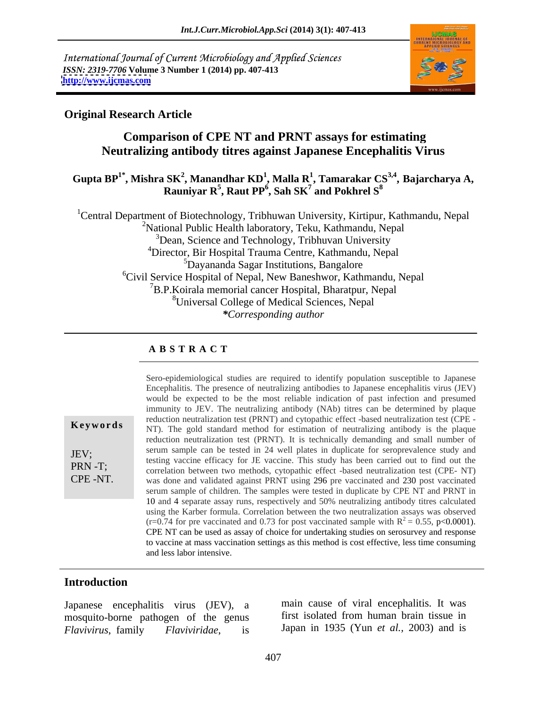International Journal of Current Microbiology and Applied Sciences *ISSN: 2319-7706* **Volume 3 Number 1 (2014) pp. 407-413 <http://www.ijcmas.com>**



## **Original Research Article**

## **Comparison of CPE NT and PRNT assays for estimating Neutralizing antibody titres against Japanese Encephalitis Virus**

## **Gupta BP1\* , Mishra SK<sup>2</sup> , Manandhar KD<sup>1</sup> , Malla R<sup>1</sup> , Tamarakar CS3,4 , Bajarcharya A, Rauniyar R<sup>5</sup> , Raut PP 6 , Sah SK<sup>7</sup> and Pokhrel S8**

<sup>1</sup>Central Department of Biotechnology, Tribhuwan University, Kirtipur, Kathmandu, Nepal <sup>2</sup>National Public Health laboratory, Teku, Kathmandu, Nepal <sup>3</sup>Dean, Science and Technology, Tribhuvan University 4Director, Bir Hospital Trauma Centre, Kathmandu, Nepal 5Dayananda Sagar Institutions, Bangalore <sup>6</sup>Civil Service Hospital of Nepal, New Baneshwor, Kathmandu, Nepal <sup>7</sup>B.P.Koirala memorial cancer Hospital, Bharatpur, Nepal <sup>8</sup>Universal College of Medical Sciences, Nepal *\*Corresponding author* 

**A B S T R A C T**

**FIGURE -NT.** Was done and validated against PRNT using 296 pre vaccinated and 2300 post vaccinated serum sample of children. The samples were tested in duplicate by CPE NT and PRNT in 10 and 4 separate assay runs, respect **Keywords** NT). The gold standard method for estimation of neutralizing antibody is the plaque **JEV**; serum sample can be tested in 24 well plates in duplicate for seroprevalence study and testing vecesing effices for U<sub>n</sub> vecesing. This study has been coming out to find out the PRN -T;<br>
correlation between two methods, cytopathic effect -based neutralization test (CPE- NT) CPE -NT. was done and validated against PRNT using 296 pre vaccinated and 230 post vaccinated Sero-epidemiological studies are required to identify population susceptible to Japanese Encephalitis. The presence of neutralizing antibodies to Japanese encephalitis virus (JEV) would be expected to be the most reliable indication of past infection and presumed immunity to JEV. The neutralizing antibody (NAb) titres can be determined by plaque reduction neutralization test (PRNT) and cytopathiceffect -based neutralization test (CPE reduction neutralization test (PRNT). It is technically demanding and small number of testing vaccine efficacy for JE vaccine. This study has been carried out to find out the serum sample of children. The samples were tested in duplicate by CPE NT and PRNT in 10 and 4 separate assay runs, respectively and 50% neutralizing antibody titres calculated using the Karber formula. Correlation between the two neutralization assays was observed  $(r=0.74$  for pre vaccinated and 0.73 for post vaccinated sample with  $R^2 = 0.55$ , p<0.0001).  $^2$  = 0.55, p<0.0001). CPE NT can be used as assay of choice for undertaking studies on serosurvey and response to vaccine at mass vaccination settings as this method is cost effective, less time consuming and less labor intensive.

### **Introduction**

Japanese encephalitis virus (JEV), a mosquito-borne pathogen of the genus

main cause of viral encephalitis. It was first isolated from human brain tissue in Japan in 1935 (Yun *et al.,* 2003) and is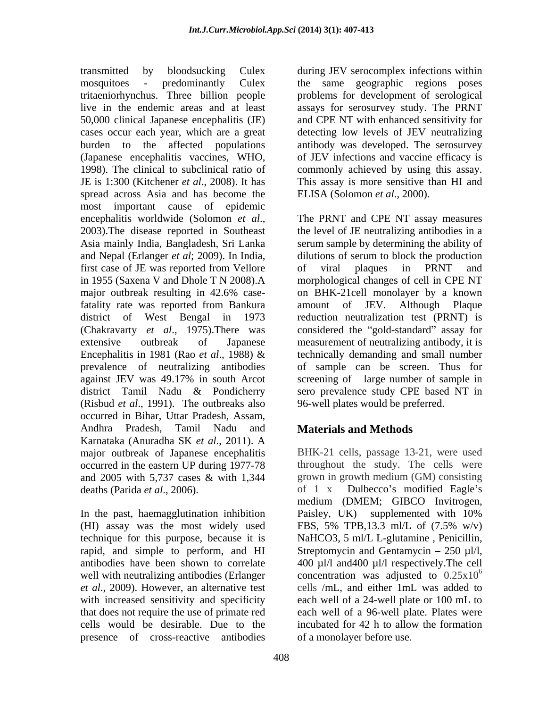transmitted by bloodsucking Culex during JEV serocomplex infections within mosquitoes - predominantly Culex the same geographic regions poses tritaeniorhynchus. Three billion people problems for development of serological live in the endemic areas and at least assays for serosurvey study. The PRNT 50,000 clinical Japanese encephalitis (JE) and CPE NT with enhanced sensitivity for cases occur each year, which are a great burden to the affected populations antibody was developed. The serosurvey (Japanese encephalitis vaccines, WHO, of JEV infections and vaccine efficacy is 1998). The clinical to subclinical ratio of commonly achieved by using this assay. JE is 1:300 (Kitchener *et al*., 2008). It has This assay is more sensitive than HI and spread across Asia and has become the most important cause of epidemic encephalitis worldwide (Solomon *et al.*, The PRNT and CPE NT assay measures 2003).The disease reported in Southeast the level of JE neutralizing antibodies in a Asia mainly India, Bangladesh, Sri Lanka serum sample by determining the ability of and Nepal (Erlanger *et al*; 2009). In India, dilutions of serum to block the production first case of JE was reported from Vellore of viral plaques in PRNT and in 1955 (Saxena V and Dhole T N 2008).A morphological changes of cell in CPE NT major outbreak resulting in 42.6% case- on BHK-21 cell monolayer by a known fatality rate was reported from Bankura amount of JEV. Although Plaque district of West Bengal in 1973 reduction neutralization test (PRNT) is (Chakravarty *et al.*, 1975). There was considered the "gold-standard" assay for extensive outbreak of Japanese measurement of neutralizing antibody, it is Encephalitis in 1981 (Rao *et al*., 1988) & technically demanding and small number prevalence of neutralizing antibodies of sample can be screen. Thus for against JEV was 49.17% in south Arcot screening of large number of sample in district Tamil Nadu & Pondicherry sero prevalence study CPE based NT in (Risbud *et al*., 1991). The outbreaks also occurred in Bihar, Uttar Pradesh, Assam, Andhra Pradesh, Tamil Nadu and **Materials and Methods** Karnataka (Anuradha SK *et al*., 2011). A major outbreak of Japanese encephalitis occurred in the eastern UP during 1977-78 and 2005 with 5,737 cases & with 1,344 deaths (Parida *et al*., 2006). of 1 x Dulbecco s modified Eagle s

In the past, haemagglutination inhibition Paisley, UK) supplemented with 10% (HI) assay was the most widely used FBS, 5% TPB, 13.3 ml/L of  $(7.5\% \text{ w/v})$ *et al*., 2009). However, an alternative test cells would be desirable. Due to the presence of cross-reactive antibodies

detecting low levels of JEV neutralizing ELISA (Solomon *et al*., 2000).

The PRNT and CPE NT assay measures the level of JE neutralizing antibodies in a of viral plaques in PRNT and on BHK-21cell monolayer by a known amount of JEV. Although Plaque 96-well plates would be preferred.

# **Materials and Methods**

technique for this purpose, because it is NaHCO3, 5 ml/L L-glutamine , Penicillin, rapid, and simple to perform, and HI Streptomycin and Gentamycin 250 µl/l, antibodies have been shown to correlate 400 µl/l and400 µl/l respectively.The cell well with neutralizing antibodies (Erlanger concentration was adjusted to  $0.25 \times 10^6$ with increased sensitivity and specificity each well of a 24-well plate or 100 mL to that does not require the use of primate red each well of a 96-well plate. Plates were BHK-21 cells, passage 13-21, were used throughout the study. The cells were grown in growth medium (GM) consisting medium (DMEM; GIBCO Invitrogen, Paisley, UK) supplemented with 10% FBS, 5% TPB,13.3 ml/L of (7.5% w/v) cells /mL, and either 1mL was added to incubated for 42 h to allow the formation of a monolayer before use.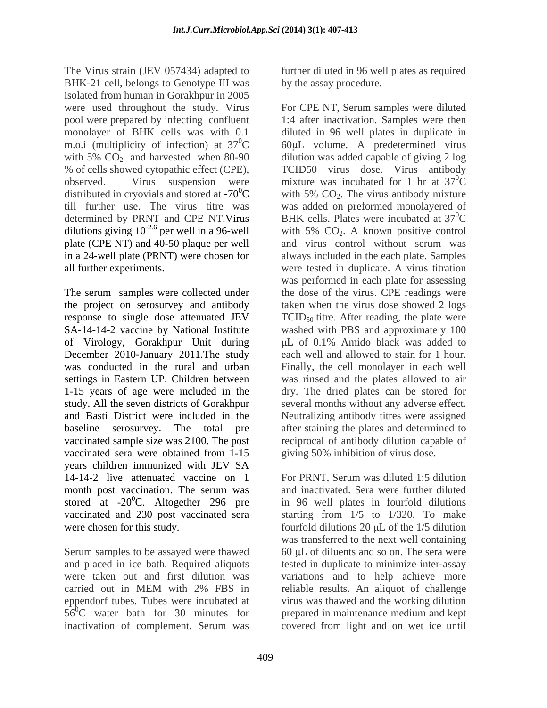The Virus strain (JEV 057434) adapted to BHK-21 cell, belongs to Genotype III was isolated from human in Gorakhpur in 2005 pool were prepared by infecting confluent distributed in cryovials and stored at -70 $\mathrm{C}$  with 5% CO<sub>2</sub>. The virus antibody mixture dilutions giving  $10^{-2.6}$  per well in a 96-well with 5% CO<sub>2</sub>. A known positive control plate (CPE NT) and 40-50 plaque per well

the project on serosurvey and antibody of Virology, Gorakhpur Unit during uL of 0.1% Amido black was added to 1-15 years of age were included in the years children immunized with JEV SA 14-14-2 live attenuated vaccine on 1 For PRNT, Serum was diluted 1:5 dilution month post vaccination. The serum was and inactivated. Sera were further diluted stored at  $-20^0$ C. Altogether 296 pre vaccinated and 230 post vaccinated sera starting from 1/5 to 1/320. To make were chosen for this study.  $\frac{1}{5}$  fourfold dilutions 20  $\mu$ L of the 1/5 dilution

 $56^{\circ}$ C water bath for 30 minutes for

further diluted in 96 well plates as required by the assay procedure.

were used throughout the study. Virus For CPE NT, Serum samples were diluted monolayer of BHK cells was with 0.1 diluted in 96 well plates in duplicate in m.o.i (multiplicity of infection) at  $37^0C$  60 $\mu$ L volume. A predetermined virus with 5%  $CO<sub>2</sub>$  and harvested when 80-90 dilution was added capable of giving 2 log % of cells showed cytopathic effect (CPE), TCID50 virus dose. Virus antibody observed. Virus suspension were mixture was incubated for 1 hr at  $37^{\circ}$ C till further use. The virus titre was was added on preformed monolayered of determined by PRNT and CPE NT. Virus BHK cells. Plates were incubated at  $37^{\circ}$ C in a 24-well plate (PRNT) were chosen for always included in the each plate. Samples all further experiments. were tested in duplicate. A virus titration The serum samples were collected under the dose of the virus. CPE readings were response to single dose attenuated  $JEV$   $TCID_{50}$  titre. After reading, the plate were SA-14-14-2 vaccine by National Institute washed with PBS and approximately 100 December 2010-January 2011.The study each well and allowed to stain for 1 hour. was conducted in the rural and urban Finally, the cell monolayer in each well settings in Eastern UP. Children between was rinsed and the plates allowed to air study. All the seven districts of Gorakhpur several months without any adverse effect. and Basti District were included in the Neutralizing antibody titres were assigned baseline serosurvey. The total pre after staining the plates and determined to vaccinated sample size was 2100. The post reciprocal of antibody dilution capable of vaccinated sera were obtained from 1-15 giving 50% inhibition of virus dose. 1:4 after inactivation. Samples were then  ${}^{0}C$ with 5%  $CO<sub>2</sub>$ . The virus antibody mixture  ${}^{0}C$ with  $5\%$  CO<sub>2</sub>. A known positive control and virus control without serum was was performed in each plate for assessing taken when the virus dose showed 2 logs L of 0.1% Amido black was added to dry. The dried plates can be stored for giving 50% inhibition of virus dose.

Serum samples to be assayed were thawed  $60 \mu L$  of diluents and so on. The sera were and placed in ice bath. Required aliquots tested in duplicate to minimize inter-assay were taken out and first dilution was variations and to help achieve more carried out in MEM with 2% FBS in eppendorf tubes. Tubes were incubated at virus was thawed and the working dilution inactivation of complement. Serum was For PRNT, Serum was diluted 1:5 dilution and inactivated. Sera were further diluted in 96 well plates in fourfold dilutions was transferred to the next well containing reliable results. An aliquot of challenge prepared in maintenance medium and kept covered from light and on wet ice until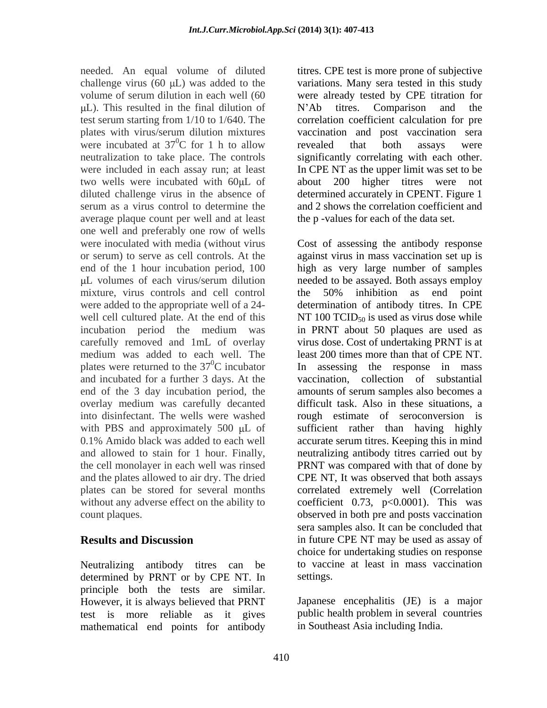needed. An equal volume of diluted challenge virus  $(60 \mu L)$  was added to the variations. Many sera tested in this study volume of serum dilution in each well (60 were already tested by CPE titration for  $\mu$ L). This resulted in the final dilution of N'Ab titres. Comparison and the test serum starting from 1/10 to 1/640. The correlation coefficient calculation for pre plates with virus/serum dilution mixtures vaccination and post vaccination sera were incubated at  $37^0C$  for 1 h to allow revealed that both assays were neutralization to take place. The controls significantly correlating with each other. were included in each assay run; at least In CPE NT as the upper limit was set to be two wells were incubated with 60µL of about 200 higher titres were not diluted challenge virus in the absence of determined accurately in CPENT. Figure 1 serum as a virus control to determine the and 2 shows the correlation coefficient and average plaque count per well and at least one well and preferably one row of wells mixture, virus controls and cell control the 50% inhibition as end point carefully removed and 1mL of overlay with PBS and approximately  $500 \mu L$  of

Neutralizing antibody titres can be determined by PRNT or by CPE NT. In settings. principle both the tests are similar. However, it is always believed that PRNT test is more reliable as it gives mathematical end points for antibody

 ${}^{0}C$  for 1 h to allow revealed that both assays were titres. CPE test is more prone of subjective N'Ab titres. Comparison and the revealed that both assays were the p -values for each of the data set.

were inoculated with media (without virus Cost of assessing the antibody response or serum) to serve as cell controls. At the against virus in mass vaccination set up is end of the 1 hour incubation period, 100 high as very large number of samples L volumes of each virus/serum dilution needed to be assayed. Both assays employ were added to the appropriate well of a 24- determination of antibody titres. In CPE well cell cultured plate. At the end of this  $NT 100 TCID<sub>50</sub>$  is used as virus dose while incubation period the medium was in PRNT about 50 plaques are used as medium was added to each well. The least 200 times more than that of CPE NT. plates were returned to the  $37^{\circ}$ C incubator In assessing the response in mass and incubated for a further 3 days. At the vaccination, collection of substantial end of the 3 day incubation period, the amounts of serum samples also becomes a overlay medium was carefully decanted difficult task. Also in these situations, a into disinfectant. The wells were washed rough estimate of seroconversion is 0.1% Amido black was added to each well accurate serum titres. Keeping this in mind and allowed to stain for 1 hour. Finally, neutralizing antibody titres carried out by the cell monolayer in each well was rinsed PRNT was compared with that of done by and the plates allowed to air dry. The dried CPE NT, It was observed that both assays plates can be stored for several months correlated extremely well (Correlation without any adverse effect on the ability to  $\qquad$  coefficient 0.73, p<0.0001). This was count plaques. observed in both pre and posts vaccination **Results and Discussion in future CPE NT** may be used as assay of the 50% inhibition as end point virus dose. Cost of undertaking PRNT is at sufficient rather than having highly sera samples also. It can be concluded that choice for undertaking studies on response to vaccine at least in mass vaccination settings.

> Japanese encephalitis (JE) is a major public health problem in several countries in Southeast Asia including India.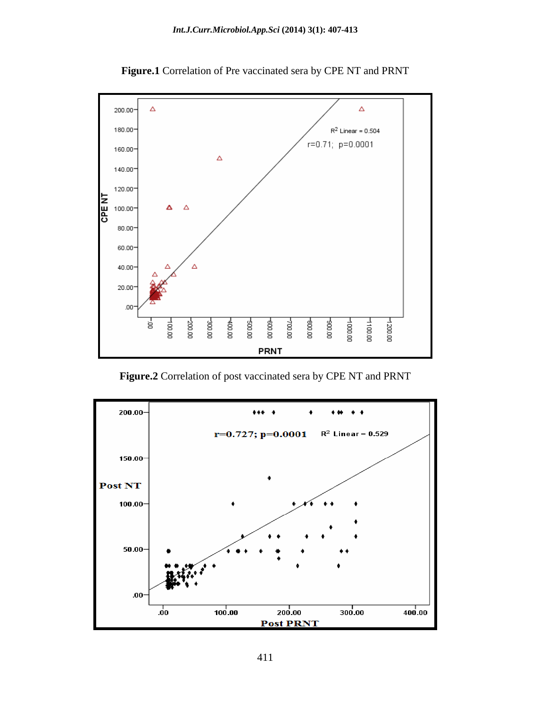

**Figure.1** Correlation of Pre vaccinated sera by CPE NT and PRNT

**Figure.2** Correlation of post vaccinated sera by CPE NT and PRNT

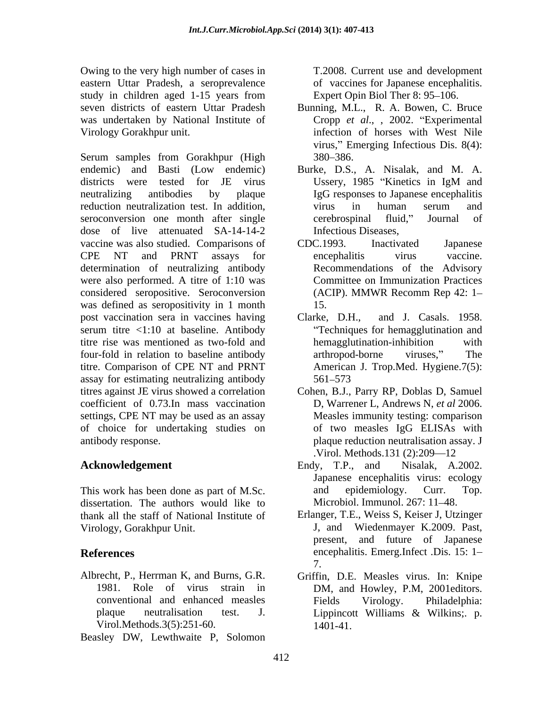Owing to the very high number of cases in eastern Uttar Pradesh, a seroprevalence study in children aged 1-15 years from was undertaken by National Institute of

Serum samples from Gorakhpur (High 380–386. endemic) and Basti (Low endemic) Burke, D.S., A. Nisalak, and M. A. districts were tested for JE virus Ussery, 1985 "Kinetics in IgM and neutralizing antibodies by plaque IgG responses to Japanese encephalitis reduction neutralization test. In addition, seroconversion one month after single errebrospinal fluid," Journal of dose of live attenuated SA-14-14-2 vaccine was also studied. Comparisons of CPE NT and PRNT assays for encephalitis virus vaccine. determination of neutralizing antibody were also performed. A titre of 1:10 was considered seropositive. Seroconversion was defined as seropositivity in 1 month 15. post vaccination sera in vaccines having Clarke, D.H., and J. Casals. 1958. serum titre <1:10 at baseline. Antibody titre rise was mentioned as two-fold and four-fold in relation to baseline antibody titre. Comparison of CPE NT and PRNT assay for estimating neutralizing antibody titres against JE virus showed a correlation Cohen, B.J., Parry RP, Doblas D, Samuel coefficient of 0.73.In mass vaccination settings, CPE NT may be used as an assay of choice for undertaking studies on antibody response. plaque reduction neutralisation assay. J

dissertation. The authors would like to thank all the staff of National Institute of Erlanger, T.E., Weiss S, Keiser J, Utzinger Virology, Gorakhpur Unit. J, and

Virol.Methods.3(5):251-60.

Beasley DW, Lewthwaite P, Solomon

T.2008. Current use and development of vaccines for Japanese encephalitis. Expert Opin Biol Ther 8: 95–106.

- seven districts of eastern Uttar Pradesh Bunning, M.L., R. A. Bowen, C. Bruce Virology Gorakhpur unit. infection of horses with West Nile Cropp *et al.*, , 2002. "Experimental" virus," Emerging Infectious Dis.  $8(4)$ : 380 386.
	- Ussery, 1985 "Kinetics in IgM and virus in human serum and cerebrospinal fluid," Journal of Infectious Diseases,
	- CDC.1993. Inactivated Japanese encephalitis virus vaccine. Recommendations of the Advisory Committee on Immunization Practices (ACIP). MMWR Recomm Rep 42: 1 15.
	- Clarke, D.H., and J. Casals. 1958. Techniques for hemagglutination and hemagglutination-inhibition with arthropod-borne viruses," The American J. Trop.Med. Hygiene.7(5): 561–573 and the state of the state of the state of the state of the state of the state of the state of the state of the state of the state of the state of the state of the state of the state of the state of the state of th
	- D, Warrener L, Andrews N, *et al* 2006. Measles immunity testing: comparison of two measles IgG ELISAs with .Virol. Methods.131 (2):209-12
- **Acknowledgement** Endy, T.P., and Nisalak, A.2002. This work has been done as part of M.Sc. and epidemiology. Curr. Top. Endy, T.P., and Nisalak, A.2002. Japanese encephalitis virus: ecology and epidemiology. Curr. Top. Microbiol. Immunol. 267: 11-48.
- **References** encephalitis. Emerg.Infect .Dis. 15: 1 Wiedenmayer K.2009. Past, present, and future of Japanese 7.
- Albrecht, P., Herrman K, and Burns, G.R. Griffin, D.E. Measles virus. In: Knipe 1981. Role of virus strain in DM, and Howley, P.M, 2001editors. conventional and enhanced measles plaque neutralisation test. J. Lippincott Williams & Wilkins;. p. Fields Virology. Philadelphia: 1401-41.